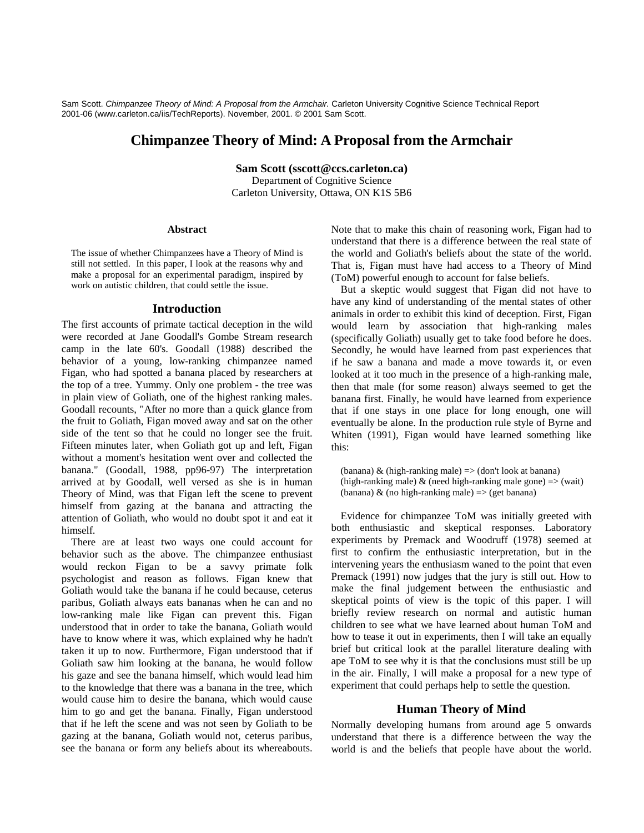Sam Scott. Chimpanzee Theory of Mind: A Proposal from the Armchair. Carleton University Cognitive Science Technical Report 2001-06 (www.carleton.ca/iis/TechReports). November, 2001. © 2001 Sam Scott.

# **Chimpanzee Theory of Mind: A Proposal from the Armchair**

**Sam Scott (sscott@ccs.carleton.ca)**

Department of Cognitive Science Carleton University, Ottawa, ON K1S 5B6

### **Abstract**

The issue of whether Chimpanzees have a Theory of Mind is still not settled. In this paper, I look at the reasons why and make a proposal for an experimental paradigm, inspired by work on autistic children, that could settle the issue.

### **Introduction**

The first accounts of primate tactical deception in the wild were recorded at Jane Goodall's Gombe Stream research camp in the late 60's. Goodall (1988) described the behavior of a young, low-ranking chimpanzee named Figan, who had spotted a banana placed by researchers at the top of a tree. Yummy. Only one problem - the tree was in plain view of Goliath, one of the highest ranking males. Goodall recounts, "After no more than a quick glance from the fruit to Goliath, Figan moved away and sat on the other side of the tent so that he could no longer see the fruit. Fifteen minutes later, when Goliath got up and left, Figan without a moment's hesitation went over and collected the banana." (Goodall, 1988, pp96-97) The interpretation arrived at by Goodall, well versed as she is in human Theory of Mind, was that Figan left the scene to prevent himself from gazing at the banana and attracting the attention of Goliath, who would no doubt spot it and eat it himself.

There are at least two ways one could account for behavior such as the above. The chimpanzee enthusiast would reckon Figan to be a savvy primate folk psychologist and reason as follows. Figan knew that Goliath would take the banana if he could because, ceterus paribus, Goliath always eats bananas when he can and no low-ranking male like Figan can prevent this. Figan understood that in order to take the banana, Goliath would have to know where it was, which explained why he hadn't taken it up to now. Furthermore, Figan understood that if Goliath saw him looking at the banana, he would follow his gaze and see the banana himself, which would lead him to the knowledge that there was a banana in the tree, which would cause him to desire the banana, which would cause him to go and get the banana. Finally, Figan understood that if he left the scene and was not seen by Goliath to be gazing at the banana, Goliath would not, ceterus paribus, see the banana or form any beliefs about its whereabouts. Note that to make this chain of reasoning work, Figan had to understand that there is a difference between the real state of the world and Goliath's beliefs about the state of the world. That is, Figan must have had access to a Theory of Mind (ToM) powerful enough to account for false beliefs.

But a skeptic would suggest that Figan did not have to have any kind of understanding of the mental states of other animals in order to exhibit this kind of deception. First, Figan would learn by association that high-ranking males (specifically Goliath) usually get to take food before he does. Secondly, he would have learned from past experiences that if he saw a banana and made a move towards it, or even looked at it too much in the presence of a high-ranking male, then that male (for some reason) always seemed to get the banana first. Finally, he would have learned from experience that if one stays in one place for long enough, one will eventually be alone. In the production rule style of Byrne and Whiten (1991), Figan would have learned something like this:

(banana) & (high-ranking male)  $\Rightarrow$  (don't look at banana) (high-ranking male)  $&$  (need high-ranking male gone)  $\Rightarrow$  (wait) (banana)  $\&$  (no high-ranking male)  $\Rightarrow$  (get banana)

Evidence for chimpanzee ToM was initially greeted with both enthusiastic and skeptical responses. Laboratory experiments by Premack and Woodruff (1978) seemed at first to confirm the enthusiastic interpretation, but in the intervening years the enthusiasm waned to the point that even Premack (1991) now judges that the jury is still out. How to make the final judgement between the enthusiastic and skeptical points of view is the topic of this paper. I will briefly review research on normal and autistic human children to see what we have learned about human ToM and how to tease it out in experiments, then I will take an equally brief but critical look at the parallel literature dealing with ape ToM to see why it is that the conclusions must still be up in the air. Finally, I will make a proposal for a new type of experiment that could perhaps help to settle the question.

### **Human Theory of Mind**

Normally developing humans from around age 5 onwards understand that there is a difference between the way the world is and the beliefs that people have about the world.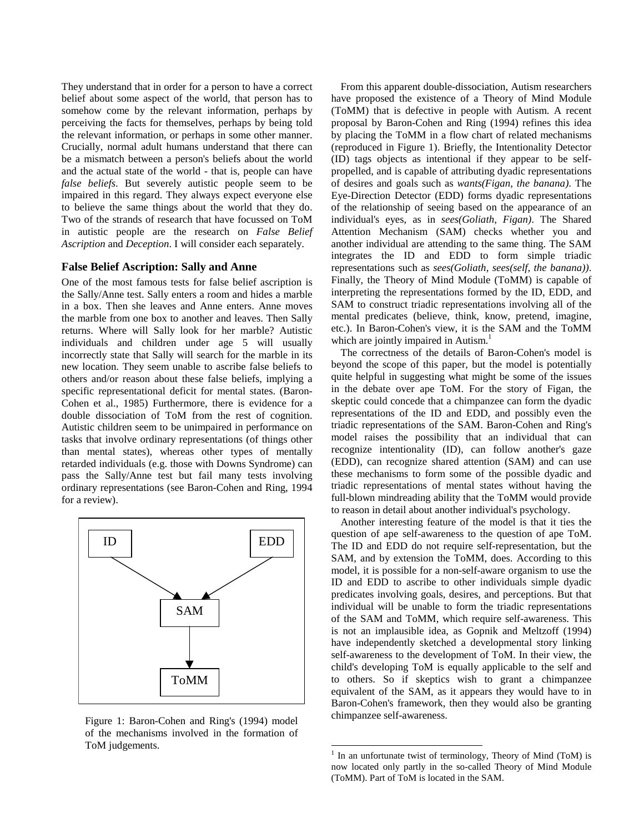They understand that in order for a person to have a correct belief about some aspect of the world, that person has to somehow come by the relevant information, perhaps by perceiving the facts for themselves, perhaps by being told the relevant information, or perhaps in some other manner. Crucially, normal adult humans understand that there can be a mismatch between a person's beliefs about the world and the actual state of the world - that is, people can have *false beliefs*. But severely autistic people seem to be impaired in this regard. They always expect everyone else to believe the same things about the world that they do. Two of the strands of research that have focussed on ToM in autistic people are the research on *False Belief Ascription* and *Deception*. I will consider each separately.

#### **False Belief Ascription: Sally and Anne**

One of the most famous tests for false belief ascription is the Sally/Anne test. Sally enters a room and hides a marble in a box. Then she leaves and Anne enters. Anne moves the marble from one box to another and leaves. Then Sally returns. Where will Sally look for her marble? Autistic individuals and children under age 5 will usually incorrectly state that Sally will search for the marble in its new location. They seem unable to ascribe false beliefs to others and/or reason about these false beliefs, implying a specific representational deficit for mental states. (Baron-Cohen et al., 1985) Furthermore, there is evidence for a double dissociation of ToM from the rest of cognition. Autistic children seem to be unimpaired in performance on tasks that involve ordinary representations (of things other than mental states), whereas other types of mentally retarded individuals (e.g. those with Downs Syndrome) can pass the Sally/Anne test but fail many tests involving ordinary representations (see Baron-Cohen and Ring, 1994 for a review).



Figure 1: Baron-Cohen and Ring's (1994) model of the mechanisms involved in the formation of ToM judgements.

From this apparent double-dissociation, Autism researchers have proposed the existence of a Theory of Mind Module (ToMM) that is defective in people with Autism. A recent proposal by Baron-Cohen and Ring (1994) refines this idea by placing the ToMM in a flow chart of related mechanisms (reproduced in Figure 1). Briefly, the Intentionality Detector (ID) tags objects as intentional if they appear to be selfpropelled, and is capable of attributing dyadic representations of desires and goals such as *wants(Figan, the banana)*. The Eye-Direction Detector (EDD) forms dyadic representations of the relationship of seeing based on the appearance of an individual's eyes, as in *sees(Goliath, Figan)*. The Shared Attention Mechanism (SAM) checks whether you and another individual are attending to the same thing. The SAM integrates the ID and EDD to form simple triadic representations such as *sees(Goliath, sees(self, the banana))*. Finally, the Theory of Mind Module (ToMM) is capable of interpreting the representations formed by the ID, EDD, and SAM to construct triadic representations involving all of the mental predicates (believe, think, know, pretend, imagine, etc.). In Baron-Cohen's view, it is the SAM and the ToMM which are jointly impaired in Autism.<sup>1</sup>

The correctness of the details of Baron-Cohen's model is beyond the scope of this paper, but the model is potentially quite helpful in suggesting what might be some of the issues in the debate over ape ToM. For the story of Figan, the skeptic could concede that a chimpanzee can form the dyadic representations of the ID and EDD, and possibly even the triadic representations of the SAM. Baron-Cohen and Ring's model raises the possibility that an individual that can recognize intentionality (ID), can follow another's gaze (EDD), can recognize shared attention (SAM) and can use these mechanisms to form some of the possible dyadic and triadic representations of mental states without having the full-blown mindreading ability that the ToMM would provide to reason in detail about another individual's psychology.

Another interesting feature of the model is that it ties the question of ape self-awareness to the question of ape ToM. The ID and EDD do not require self-representation, but the SAM, and by extension the ToMM, does. According to this model, it is possible for a non-self-aware organism to use the ID and EDD to ascribe to other individuals simple dyadic predicates involving goals, desires, and perceptions. But that individual will be unable to form the triadic representations of the SAM and ToMM, which require self-awareness. This is not an implausible idea, as Gopnik and Meltzoff (1994) have independently sketched a developmental story linking self-awareness to the development of ToM. In their view, the child's developing ToM is equally applicable to the self and to others. So if skeptics wish to grant a chimpanzee equivalent of the SAM, as it appears they would have to in Baron-Cohen's framework, then they would also be granting chimpanzee self-awareness.

 $\overline{a}$ 

<sup>&</sup>lt;sup>1</sup> In an unfortunate twist of terminology, Theory of Mind (ToM) is now located only partly in the so-called Theory of Mind Module (ToMM). Part of ToM is located in the SAM.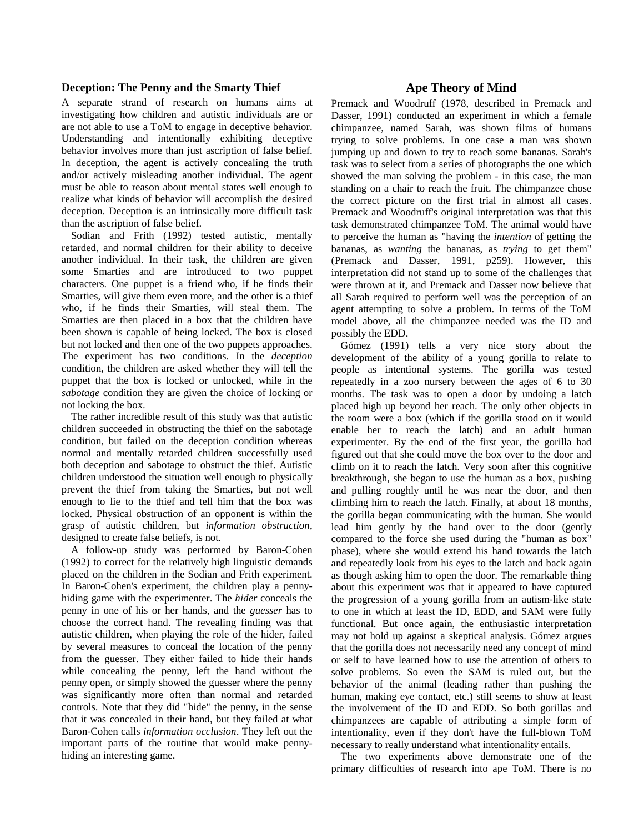### **Deception: The Penny and the Smarty Thief**

A separate strand of research on humans aims at investigating how children and autistic individuals are or are not able to use a ToM to engage in deceptive behavior. Understanding and intentionally exhibiting deceptive behavior involves more than just ascription of false belief. In deception, the agent is actively concealing the truth and/or actively misleading another individual. The agent must be able to reason about mental states well enough to realize what kinds of behavior will accomplish the desired deception. Deception is an intrinsically more difficult task than the ascription of false belief.

Sodian and Frith (1992) tested autistic, mentally retarded, and normal children for their ability to deceive another individual. In their task, the children are given some Smarties and are introduced to two puppet characters. One puppet is a friend who, if he finds their Smarties, will give them even more, and the other is a thief who, if he finds their Smarties, will steal them. The Smarties are then placed in a box that the children have been shown is capable of being locked. The box is closed but not locked and then one of the two puppets approaches. The experiment has two conditions. In the *deception* condition, the children are asked whether they will tell the puppet that the box is locked or unlocked, while in the *sabotage* condition they are given the choice of locking or not locking the box.

The rather incredible result of this study was that autistic children succeeded in obstructing the thief on the sabotage condition, but failed on the deception condition whereas normal and mentally retarded children successfully used both deception and sabotage to obstruct the thief. Autistic children understood the situation well enough to physically prevent the thief from taking the Smarties, but not well enough to lie to the thief and tell him that the box was locked. Physical obstruction of an opponent is within the grasp of autistic children, but *information obstruction*, designed to create false beliefs, is not.

A follow-up study was performed by Baron-Cohen (1992) to correct for the relatively high linguistic demands placed on the children in the Sodian and Frith experiment. In Baron-Cohen's experiment, the children play a pennyhiding game with the experimenter. The *hider* conceals the penny in one of his or her hands, and the *guesser* has to choose the correct hand. The revealing finding was that autistic children, when playing the role of the hider, failed by several measures to conceal the location of the penny from the guesser. They either failed to hide their hands while concealing the penny, left the hand without the penny open, or simply showed the guesser where the penny was significantly more often than normal and retarded controls. Note that they did "hide" the penny, in the sense that it was concealed in their hand, but they failed at what Baron-Cohen calls *information occlusion*. They left out the important parts of the routine that would make pennyhiding an interesting game.

# **Ape Theory of Mind**

Premack and Woodruff (1978, described in Premack and Dasser, 1991) conducted an experiment in which a female chimpanzee, named Sarah, was shown films of humans trying to solve problems. In one case a man was shown jumping up and down to try to reach some bananas. Sarah's task was to select from a series of photographs the one which showed the man solving the problem - in this case, the man standing on a chair to reach the fruit. The chimpanzee chose the correct picture on the first trial in almost all cases. Premack and Woodruff's original interpretation was that this task demonstrated chimpanzee ToM. The animal would have to perceive the human as "having the *intention* of getting the bananas, as *wanting* the bananas, as *trying* to get them" (Premack and Dasser, 1991, p259). However, this interpretation did not stand up to some of the challenges that were thrown at it, and Premack and Dasser now believe that all Sarah required to perform well was the perception of an agent attempting to solve a problem. In terms of the ToM model above, all the chimpanzee needed was the ID and possibly the EDD.

Gómez (1991) tells a very nice story about the development of the ability of a young gorilla to relate to people as intentional systems. The gorilla was tested repeatedly in a zoo nursery between the ages of 6 to 30 months. The task was to open a door by undoing a latch placed high up beyond her reach. The only other objects in the room were a box (which if the gorilla stood on it would enable her to reach the latch) and an adult human experimenter. By the end of the first year, the gorilla had figured out that she could move the box over to the door and climb on it to reach the latch. Very soon after this cognitive breakthrough, she began to use the human as a box, pushing and pulling roughly until he was near the door, and then climbing him to reach the latch. Finally, at about 18 months, the gorilla began communicating with the human. She would lead him gently by the hand over to the door (gently compared to the force she used during the "human as box" phase), where she would extend his hand towards the latch and repeatedly look from his eyes to the latch and back again as though asking him to open the door. The remarkable thing about this experiment was that it appeared to have captured the progression of a young gorilla from an autism-like state to one in which at least the ID, EDD, and SAM were fully functional. But once again, the enthusiastic interpretation may not hold up against a skeptical analysis. Gómez argues that the gorilla does not necessarily need any concept of mind or self to have learned how to use the attention of others to solve problems. So even the SAM is ruled out, but the behavior of the animal (leading rather than pushing the human, making eye contact, etc.) still seems to show at least the involvement of the ID and EDD. So both gorillas and chimpanzees are capable of attributing a simple form of intentionality, even if they don't have the full-blown ToM necessary to really understand what intentionality entails.

The two experiments above demonstrate one of the primary difficulties of research into ape ToM. There is no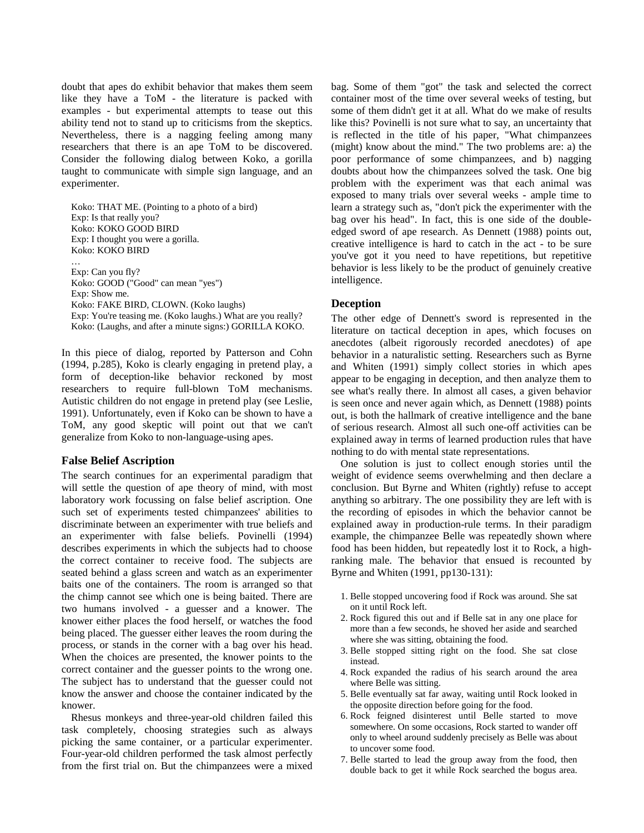doubt that apes do exhibit behavior that makes them seem like they have a ToM - the literature is packed with examples - but experimental attempts to tease out this ability tend not to stand up to criticisms from the skeptics. Nevertheless, there is a nagging feeling among many researchers that there is an ape ToM to be discovered. Consider the following dialog between Koko, a gorilla taught to communicate with simple sign language, and an experimenter.

Koko: THAT ME. (Pointing to a photo of a bird) Exp: Is that really you? Koko: KOKO GOOD BIRD Exp: I thought you were a gorilla. Koko: KOKO BIRD …

Exp: Can you fly? Koko: GOOD ("Good" can mean "yes") Exp: Show me. Koko: FAKE BIRD, CLOWN. (Koko laughs) Exp: You're teasing me. (Koko laughs.) What are you really? Koko: (Laughs, and after a minute signs:) GORILLA KOKO.

In this piece of dialog, reported by Patterson and Cohn (1994, p.285), Koko is clearly engaging in pretend play, a form of deception-like behavior reckoned by most researchers to require full-blown ToM mechanisms. Autistic children do not engage in pretend play (see Leslie, 1991). Unfortunately, even if Koko can be shown to have a ToM, any good skeptic will point out that we can't generalize from Koko to non-language-using apes.

# **False Belief Ascription**

The search continues for an experimental paradigm that will settle the question of ape theory of mind, with most laboratory work focussing on false belief ascription. One such set of experiments tested chimpanzees' abilities to discriminate between an experimenter with true beliefs and an experimenter with false beliefs. Povinelli (1994) describes experiments in which the subjects had to choose the correct container to receive food. The subjects are seated behind a glass screen and watch as an experimenter baits one of the containers. The room is arranged so that the chimp cannot see which one is being baited. There are two humans involved - a guesser and a knower. The knower either places the food herself, or watches the food being placed. The guesser either leaves the room during the process, or stands in the corner with a bag over his head. When the choices are presented, the knower points to the correct container and the guesser points to the wrong one. The subject has to understand that the guesser could not know the answer and choose the container indicated by the knower.

Rhesus monkeys and three-year-old children failed this task completely, choosing strategies such as always picking the same container, or a particular experimenter. Four-year-old children performed the task almost perfectly from the first trial on. But the chimpanzees were a mixed bag. Some of them "got" the task and selected the correct container most of the time over several weeks of testing, but some of them didn't get it at all. What do we make of results like this? Povinelli is not sure what to say, an uncertainty that is reflected in the title of his paper, "What chimpanzees (might) know about the mind." The two problems are: a) the poor performance of some chimpanzees, and b) nagging doubts about how the chimpanzees solved the task. One big problem with the experiment was that each animal was exposed to many trials over several weeks - ample time to learn a strategy such as, "don't pick the experimenter with the bag over his head". In fact, this is one side of the doubleedged sword of ape research. As Dennett (1988) points out, creative intelligence is hard to catch in the act - to be sure you've got it you need to have repetitions, but repetitive behavior is less likely to be the product of genuinely creative intelligence.

### **Deception**

The other edge of Dennett's sword is represented in the literature on tactical deception in apes, which focuses on anecdotes (albeit rigorously recorded anecdotes) of ape behavior in a naturalistic setting. Researchers such as Byrne and Whiten (1991) simply collect stories in which apes appear to be engaging in deception, and then analyze them to see what's really there. In almost all cases, a given behavior is seen once and never again which, as Dennett (1988) points out, is both the hallmark of creative intelligence and the bane of serious research. Almost all such one-off activities can be explained away in terms of learned production rules that have nothing to do with mental state representations.

One solution is just to collect enough stories until the weight of evidence seems overwhelming and then declare a conclusion. But Byrne and Whiten (rightly) refuse to accept anything so arbitrary. The one possibility they are left with is the recording of episodes in which the behavior cannot be explained away in production-rule terms. In their paradigm example, the chimpanzee Belle was repeatedly shown where food has been hidden, but repeatedly lost it to Rock, a highranking male. The behavior that ensued is recounted by Byrne and Whiten (1991, pp130-131):

- 1. Belle stopped uncovering food if Rock was around. She sat on it until Rock left.
- 2. Rock figured this out and if Belle sat in any one place for more than a few seconds, he shoved her aside and searched where she was sitting, obtaining the food.
- 3. Belle stopped sitting right on the food. She sat close instead.
- 4. Rock expanded the radius of his search around the area where Belle was sitting.
- 5. Belle eventually sat far away, waiting until Rock looked in the opposite direction before going for the food.
- 6. Rock feigned disinterest until Belle started to move somewhere. On some occasions, Rock started to wander off only to wheel around suddenly precisely as Belle was about to uncover some food.
- 7. Belle started to lead the group away from the food, then double back to get it while Rock searched the bogus area.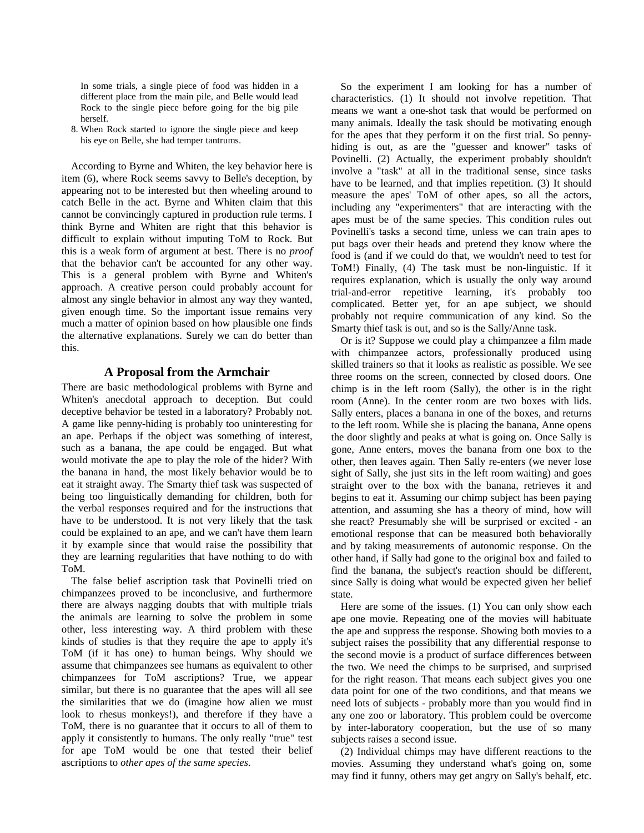In some trials, a single piece of food was hidden in a different place from the main pile, and Belle would lead Rock to the single piece before going for the big pile herself.

8. When Rock started to ignore the single piece and keep his eye on Belle, she had temper tantrums.

According to Byrne and Whiten, the key behavior here is item (6), where Rock seems savvy to Belle's deception, by appearing not to be interested but then wheeling around to catch Belle in the act. Byrne and Whiten claim that this cannot be convincingly captured in production rule terms. I think Byrne and Whiten are right that this behavior is difficult to explain without imputing ToM to Rock. But this is a weak form of argument at best. There is no *proof* that the behavior can't be accounted for any other way. This is a general problem with Byrne and Whiten's approach. A creative person could probably account for almost any single behavior in almost any way they wanted, given enough time. So the important issue remains very much a matter of opinion based on how plausible one finds the alternative explanations. Surely we can do better than this.

# **A Proposal from the Armchair**

There are basic methodological problems with Byrne and Whiten's anecdotal approach to deception. But could deceptive behavior be tested in a laboratory? Probably not. A game like penny-hiding is probably too uninteresting for an ape. Perhaps if the object was something of interest, such as a banana, the ape could be engaged. But what would motivate the ape to play the role of the hider? With the banana in hand, the most likely behavior would be to eat it straight away. The Smarty thief task was suspected of being too linguistically demanding for children, both for the verbal responses required and for the instructions that have to be understood. It is not very likely that the task could be explained to an ape, and we can't have them learn it by example since that would raise the possibility that they are learning regularities that have nothing to do with ToM.

The false belief ascription task that Povinelli tried on chimpanzees proved to be inconclusive, and furthermore there are always nagging doubts that with multiple trials the animals are learning to solve the problem in some other, less interesting way. A third problem with these kinds of studies is that they require the ape to apply it's ToM (if it has one) to human beings. Why should we assume that chimpanzees see humans as equivalent to other chimpanzees for ToM ascriptions? True, we appear similar, but there is no guarantee that the apes will all see the similarities that we do (imagine how alien we must look to rhesus monkeys!), and therefore if they have a ToM, there is no guarantee that it occurs to all of them to apply it consistently to humans. The only really "true" test for ape ToM would be one that tested their belief ascriptions to *other apes of the same species*.

So the experiment I am looking for has a number of characteristics. (1) It should not involve repetition. That means we want a one-shot task that would be performed on many animals. Ideally the task should be motivating enough for the apes that they perform it on the first trial. So pennyhiding is out, as are the "guesser and knower" tasks of Povinelli. (2) Actually, the experiment probably shouldn't involve a "task" at all in the traditional sense, since tasks have to be learned, and that implies repetition. (3) It should measure the apes' ToM of other apes, so all the actors, including any "experimenters" that are interacting with the apes must be of the same species. This condition rules out Povinelli's tasks a second time, unless we can train apes to put bags over their heads and pretend they know where the food is (and if we could do that, we wouldn't need to test for ToM!) Finally, (4) The task must be non-linguistic. If it requires explanation, which is usually the only way around trial-and-error repetitive learning, it's probably too complicated. Better yet, for an ape subject, we should probably not require communication of any kind. So the Smarty thief task is out, and so is the Sally/Anne task.

Or is it? Suppose we could play a chimpanzee a film made with chimpanzee actors, professionally produced using skilled trainers so that it looks as realistic as possible. We see three rooms on the screen, connected by closed doors. One chimp is in the left room (Sally), the other is in the right room (Anne). In the center room are two boxes with lids. Sally enters, places a banana in one of the boxes, and returns to the left room. While she is placing the banana, Anne opens the door slightly and peaks at what is going on. Once Sally is gone, Anne enters, moves the banana from one box to the other, then leaves again. Then Sally re-enters (we never lose sight of Sally, she just sits in the left room waiting) and goes straight over to the box with the banana, retrieves it and begins to eat it. Assuming our chimp subject has been paying attention, and assuming she has a theory of mind, how will she react? Presumably she will be surprised or excited - an emotional response that can be measured both behaviorally and by taking measurements of autonomic response. On the other hand, if Sally had gone to the original box and failed to find the banana, the subject's reaction should be different, since Sally is doing what would be expected given her belief state.

Here are some of the issues. (1) You can only show each ape one movie. Repeating one of the movies will habituate the ape and suppress the response. Showing both movies to a subject raises the possibility that any differential response to the second movie is a product of surface differences between the two. We need the chimps to be surprised, and surprised for the right reason. That means each subject gives you one data point for one of the two conditions, and that means we need lots of subjects - probably more than you would find in any one zoo or laboratory. This problem could be overcome by inter-laboratory cooperation, but the use of so many subjects raises a second issue.

(2) Individual chimps may have different reactions to the movies. Assuming they understand what's going on, some may find it funny, others may get angry on Sally's behalf, etc.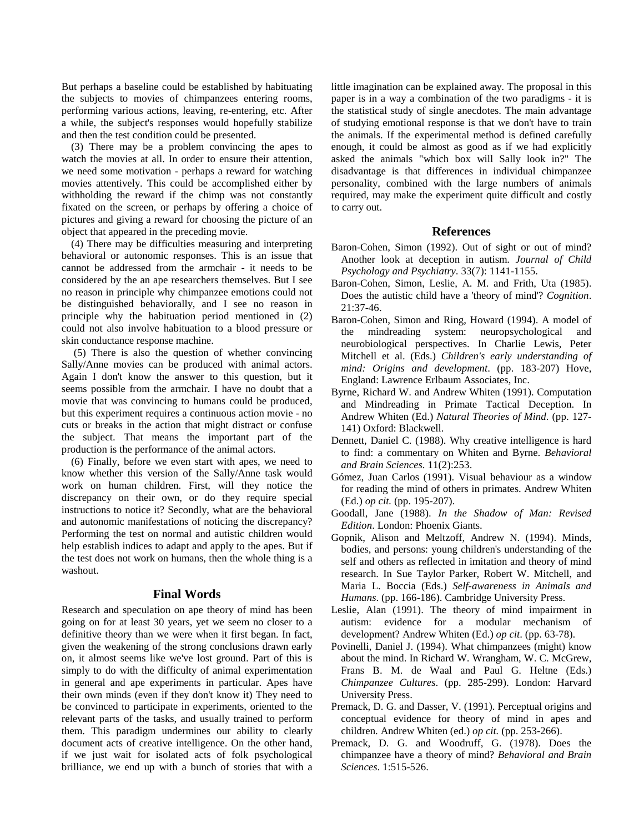But perhaps a baseline could be established by habituating the subjects to movies of chimpanzees entering rooms, performing various actions, leaving, re-entering, etc. After a while, the subject's responses would hopefully stabilize and then the test condition could be presented.

(3) There may be a problem convincing the apes to watch the movies at all. In order to ensure their attention, we need some motivation - perhaps a reward for watching movies attentively. This could be accomplished either by withholding the reward if the chimp was not constantly fixated on the screen, or perhaps by offering a choice of pictures and giving a reward for choosing the picture of an object that appeared in the preceding movie.

(4) There may be difficulties measuring and interpreting behavioral or autonomic responses. This is an issue that cannot be addressed from the armchair - it needs to be considered by the an ape researchers themselves. But I see no reason in principle why chimpanzee emotions could not be distinguished behaviorally, and I see no reason in principle why the habituation period mentioned in (2) could not also involve habituation to a blood pressure or skin conductance response machine.

(5) There is also the question of whether convincing Sally/Anne movies can be produced with animal actors. Again I don't know the answer to this question, but it seems possible from the armchair. I have no doubt that a movie that was convincing to humans could be produced, but this experiment requires a continuous action movie - no cuts or breaks in the action that might distract or confuse the subject. That means the important part of the production is the performance of the animal actors.

(6) Finally, before we even start with apes, we need to know whether this version of the Sally/Anne task would work on human children. First, will they notice the discrepancy on their own, or do they require special instructions to notice it? Secondly, what are the behavioral and autonomic manifestations of noticing the discrepancy? Performing the test on normal and autistic children would help establish indices to adapt and apply to the apes. But if the test does not work on humans, then the whole thing is a washout.

# **Final Words**

Research and speculation on ape theory of mind has been going on for at least 30 years, yet we seem no closer to a definitive theory than we were when it first began. In fact, given the weakening of the strong conclusions drawn early on, it almost seems like we've lost ground. Part of this is simply to do with the difficulty of animal experimentation in general and ape experiments in particular. Apes have their own minds (even if they don't know it) They need to be convinced to participate in experiments, oriented to the relevant parts of the tasks, and usually trained to perform them. This paradigm undermines our ability to clearly document acts of creative intelligence. On the other hand, if we just wait for isolated acts of folk psychological brilliance, we end up with a bunch of stories that with a little imagination can be explained away. The proposal in this paper is in a way a combination of the two paradigms - it is the statistical study of single anecdotes. The main advantage of studying emotional response is that we don't have to train the animals. If the experimental method is defined carefully enough, it could be almost as good as if we had explicitly asked the animals "which box will Sally look in?" The disadvantage is that differences in individual chimpanzee personality, combined with the large numbers of animals required, may make the experiment quite difficult and costly to carry out.

### **References**

- Baron-Cohen, Simon (1992). Out of sight or out of mind? Another look at deception in autism. *Journal of Child Psychology and Psychiatry*. 33(7): 1141-1155.
- Baron-Cohen, Simon, Leslie, A. M. and Frith, Uta (1985). Does the autistic child have a 'theory of mind'? *Cognition*. 21:37-46.
- Baron-Cohen, Simon and Ring, Howard (1994). A model of the mindreading system: neuropsychological and neurobiological perspectives. In Charlie Lewis, Peter Mitchell et al. (Eds.) *Children's early understanding of mind: Origins and development*. (pp. 183-207) Hove, England: Lawrence Erlbaum Associates, Inc.
- Byrne, Richard W. and Andrew Whiten (1991). Computation and Mindreading in Primate Tactical Deception. In Andrew Whiten (Ed.) *Natural Theories of Mind*. (pp. 127- 141) Oxford: Blackwell.
- Dennett, Daniel C. (1988). Why creative intelligence is hard to find: a commentary on Whiten and Byrne. *Behavioral and Brain Sciences*. 11(2):253.
- Gómez, Juan Carlos (1991). Visual behaviour as a window for reading the mind of others in primates. Andrew Whiten (Ed.) *op cit.* (pp. 195-207).
- Goodall, Jane (1988). *In the Shadow of Man: Revised Edition*. London: Phoenix Giants.
- Gopnik, Alison and Meltzoff, Andrew N. (1994). Minds, bodies, and persons: young children's understanding of the self and others as reflected in imitation and theory of mind research. In Sue Taylor Parker, Robert W. Mitchell, and Maria L. Boccia (Eds.) *Self-awareness in Animals and Humans*. (pp. 166-186). Cambridge University Press.
- Leslie, Alan (1991). The theory of mind impairment in autism: evidence for a modular mechanism of development? Andrew Whiten (Ed.) *op cit*. (pp. 63-78).
- Povinelli, Daniel J. (1994). What chimpanzees (might) know about the mind. In Richard W. Wrangham, W. C. McGrew, Frans B. M. de Waal and Paul G. Heltne (Eds.) *Chimpanzee Cultures*. (pp. 285-299). London: Harvard University Press.
- Premack, D. G. and Dasser, V. (1991). Perceptual origins and conceptual evidence for theory of mind in apes and children. Andrew Whiten (ed.) *op cit.* (pp. 253-266).
- Premack, D. G. and Woodruff, G. (1978). Does the chimpanzee have a theory of mind? *Behavioral and Brain Sciences*. 1:515-526.